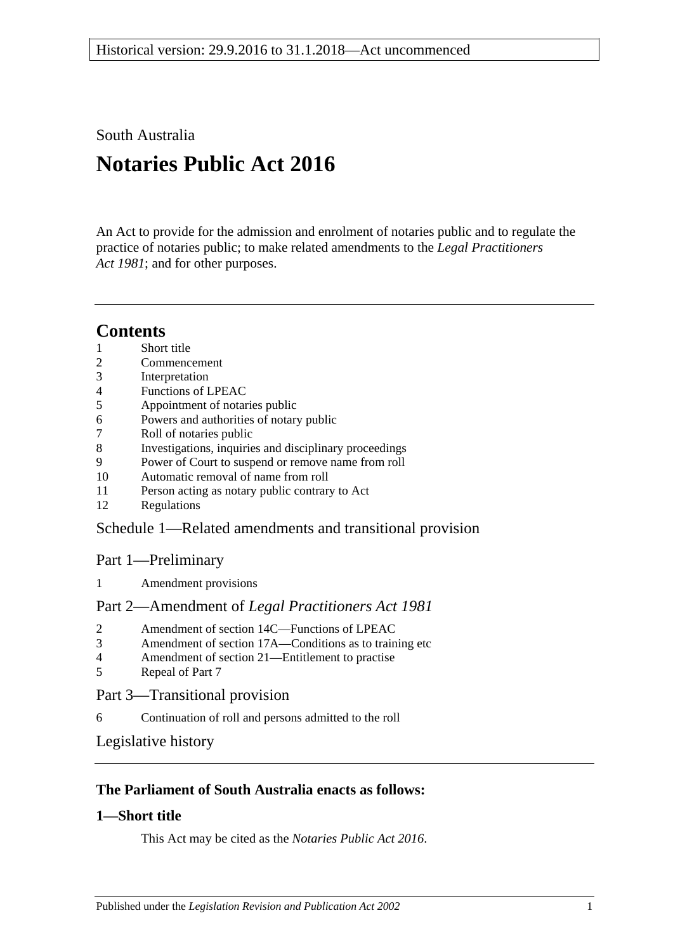South Australia

# **Notaries Public Act 2016**

An Act to provide for the admission and enrolment of notaries public and to regulate the practice of notaries public; to make related amendments to the *[Legal Practitioners](http://www.legislation.sa.gov.au/index.aspx?action=legref&type=act&legtitle=Legal%20Practitioners%20Act%201981)  Act [1981](http://www.legislation.sa.gov.au/index.aspx?action=legref&type=act&legtitle=Legal%20Practitioners%20Act%201981)*; and for other purposes.

## **Contents**

- 1 [Short title](#page-0-0)
- 2 [Commencement](#page-1-0)
- 3 [Interpretation](#page-1-1)
- 4 [Functions of LPEAC](#page-1-2)
- 5 [Appointment of notaries public](#page-2-0)
- 6 [Powers and authorities of notary public](#page-2-1)
- 7 [Roll of notaries public](#page-2-2)
- 8 [Investigations, inquiries and disciplinary proceedings](#page-3-0)
- 9 [Power of Court to suspend or remove name from roll](#page-3-1)
- 10 [Automatic removal of name from roll](#page-4-0)
- 11 [Person acting as notary public contrary to Act](#page-4-1)
- 12 [Regulations](#page-4-2)

## Schedule [1—Related amendments and transitional provision](#page-4-3)

## Part 1—Preliminary

1 [Amendment provisions](#page-4-4)

#### Part 2—Amendment of *Legal Practitioners Act 1981*

- 2 [Amendment of section 14C—Functions of LPEAC](#page-4-5)
- 3 [Amendment of section 17A—Conditions as to training etc](#page-4-6)
- 4 [Amendment of section 21—Entitlement to practise](#page-5-0)
- 5 [Repeal of Part 7](#page-5-1)

## Part 3—Transitional provision

6 [Continuation of roll and persons admitted to the roll](#page-5-2)

[Legislative history](#page-6-0)

## **The Parliament of South Australia enacts as follows:**

## <span id="page-0-0"></span>**1—Short title**

This Act may be cited as the *Notaries Public Act 2016*.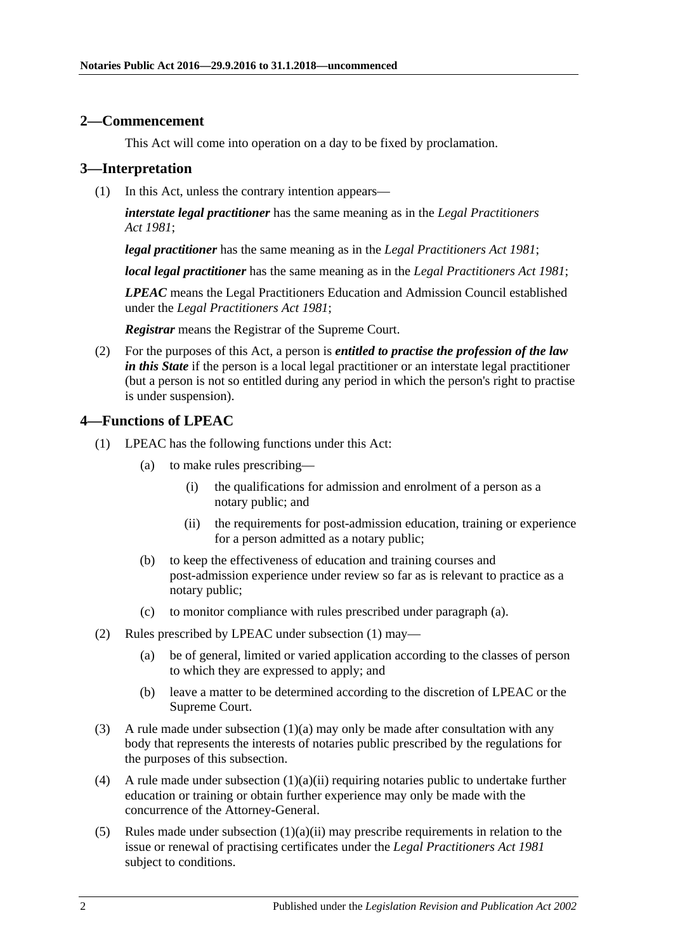#### <span id="page-1-0"></span>**2—Commencement**

This Act will come into operation on a day to be fixed by proclamation.

#### <span id="page-1-1"></span>**3—Interpretation**

(1) In this Act, unless the contrary intention appears—

*interstate legal practitioner* has the same meaning as in the *[Legal Practitioners](http://www.legislation.sa.gov.au/index.aspx?action=legref&type=act&legtitle=Legal%20Practitioners%20Act%201981)  Act [1981](http://www.legislation.sa.gov.au/index.aspx?action=legref&type=act&legtitle=Legal%20Practitioners%20Act%201981)*;

*legal practitioner* has the same meaning as in the *[Legal Practitioners Act](http://www.legislation.sa.gov.au/index.aspx?action=legref&type=act&legtitle=Legal%20Practitioners%20Act%201981) 1981*;

*local legal practitioner* has the same meaning as in the *[Legal Practitioners Act](http://www.legislation.sa.gov.au/index.aspx?action=legref&type=act&legtitle=Legal%20Practitioners%20Act%201981) 1981*;

*LPEAC* means the Legal Practitioners Education and Admission Council established under the *[Legal Practitioners Act](http://www.legislation.sa.gov.au/index.aspx?action=legref&type=act&legtitle=Legal%20Practitioners%20Act%201981) 1981*;

*Registrar* means the Registrar of the Supreme Court.

(2) For the purposes of this Act, a person is *entitled to practise the profession of the law in this State* if the person is a local legal practitioner or an interstate legal practitioner (but a person is not so entitled during any period in which the person's right to practise is under suspension).

#### <span id="page-1-4"></span><span id="page-1-2"></span>**4—Functions of LPEAC**

- <span id="page-1-5"></span><span id="page-1-3"></span>(1) LPEAC has the following functions under this Act:
	- (a) to make rules prescribing—
		- (i) the qualifications for admission and enrolment of a person as a notary public; and
		- (ii) the requirements for post-admission education, training or experience for a person admitted as a notary public;
	- (b) to keep the effectiveness of education and training courses and post-admission experience under review so far as is relevant to practice as a notary public;
	- (c) to monitor compliance with rules prescribed under [paragraph](#page-1-3) (a).
- (2) Rules prescribed by LPEAC under [subsection](#page-1-4) (1) may—
	- (a) be of general, limited or varied application according to the classes of person to which they are expressed to apply; and
	- (b) leave a matter to be determined according to the discretion of LPEAC or the Supreme Court.
- (3) A rule made under [subsection](#page-1-3)  $(1)(a)$  may only be made after consultation with any body that represents the interests of notaries public prescribed by the regulations for the purposes of this subsection.
- (4) A rule made under [subsection](#page-1-5)  $(1)(a)(ii)$  requiring notaries public to undertake further education or training or obtain further experience may only be made with the concurrence of the Attorney-General.
- (5) Rules made under [subsection](#page-1-5) (1)(a)(ii) may prescribe requirements in relation to the issue or renewal of practising certificates under the *[Legal Practitioners Act](http://www.legislation.sa.gov.au/index.aspx?action=legref&type=act&legtitle=Legal%20Practitioners%20Act%201981) 1981* subject to conditions.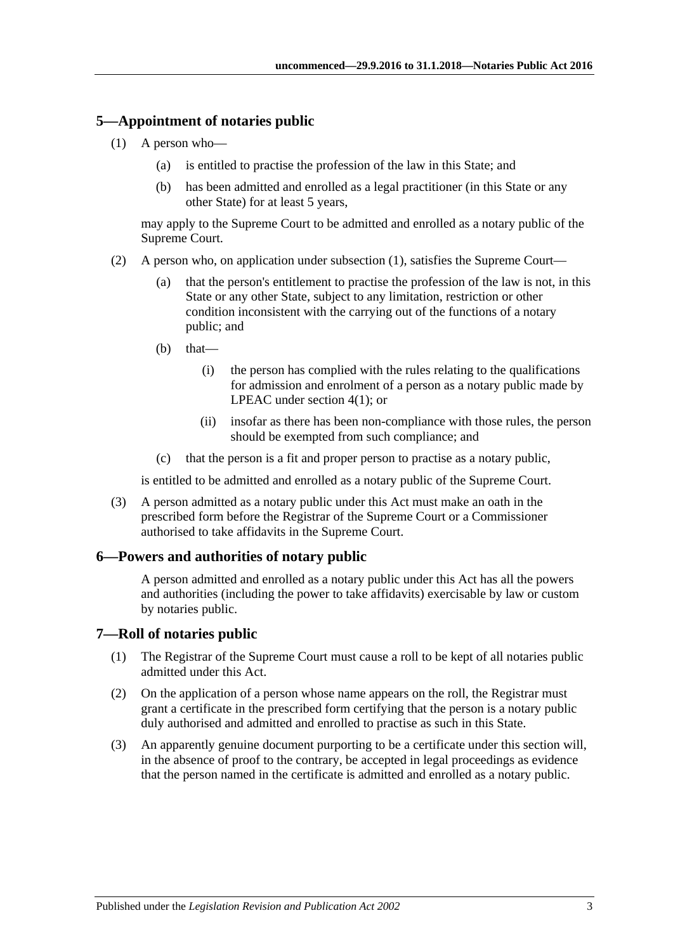### <span id="page-2-3"></span><span id="page-2-0"></span>**5—Appointment of notaries public**

- (1) A person who—
	- (a) is entitled to practise the profession of the law in this State; and
	- (b) has been admitted and enrolled as a legal practitioner (in this State or any other State) for at least 5 years,

may apply to the Supreme Court to be admitted and enrolled as a notary public of the Supreme Court.

- (2) A person who, on application under [subsection](#page-2-3) (1), satisfies the Supreme Court—
	- (a) that the person's entitlement to practise the profession of the law is not, in this State or any other State, subject to any limitation, restriction or other condition inconsistent with the carrying out of the functions of a notary public; and
	- (b) that—
		- (i) the person has complied with the rules relating to the qualifications for admission and enrolment of a person as a notary public made by LPEAC under [section](#page-1-4) 4(1); or
		- (ii) insofar as there has been non-compliance with those rules, the person should be exempted from such compliance; and
	- (c) that the person is a fit and proper person to practise as a notary public,

is entitled to be admitted and enrolled as a notary public of the Supreme Court.

(3) A person admitted as a notary public under this Act must make an oath in the prescribed form before the Registrar of the Supreme Court or a Commissioner authorised to take affidavits in the Supreme Court.

#### <span id="page-2-1"></span>**6—Powers and authorities of notary public**

A person admitted and enrolled as a notary public under this Act has all the powers and authorities (including the power to take affidavits) exercisable by law or custom by notaries public.

#### <span id="page-2-2"></span>**7—Roll of notaries public**

- (1) The Registrar of the Supreme Court must cause a roll to be kept of all notaries public admitted under this Act.
- (2) On the application of a person whose name appears on the roll, the Registrar must grant a certificate in the prescribed form certifying that the person is a notary public duly authorised and admitted and enrolled to practise as such in this State.
- (3) An apparently genuine document purporting to be a certificate under this section will, in the absence of proof to the contrary, be accepted in legal proceedings as evidence that the person named in the certificate is admitted and enrolled as a notary public.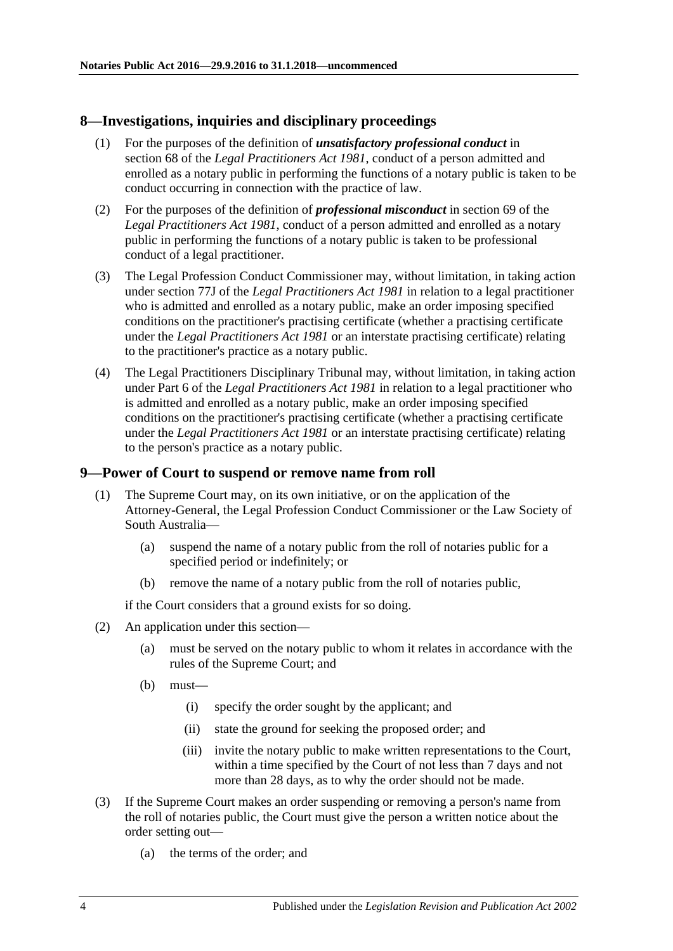#### <span id="page-3-0"></span>**8—Investigations, inquiries and disciplinary proceedings**

- (1) For the purposes of the definition of *unsatisfactory professional conduct* in section 68 of the *[Legal Practitioners Act](http://www.legislation.sa.gov.au/index.aspx?action=legref&type=act&legtitle=Legal%20Practitioners%20Act%201981) 1981*, conduct of a person admitted and enrolled as a notary public in performing the functions of a notary public is taken to be conduct occurring in connection with the practice of law.
- (2) For the purposes of the definition of *professional misconduct* in section 69 of the *[Legal Practitioners Act](http://www.legislation.sa.gov.au/index.aspx?action=legref&type=act&legtitle=Legal%20Practitioners%20Act%201981) 1981*, conduct of a person admitted and enrolled as a notary public in performing the functions of a notary public is taken to be professional conduct of a legal practitioner.
- (3) The Legal Profession Conduct Commissioner may, without limitation, in taking action under section 77J of the *[Legal Practitioners Act](http://www.legislation.sa.gov.au/index.aspx?action=legref&type=act&legtitle=Legal%20Practitioners%20Act%201981) 1981* in relation to a legal practitioner who is admitted and enrolled as a notary public, make an order imposing specified conditions on the practitioner's practising certificate (whether a practising certificate under the *[Legal Practitioners Act](http://www.legislation.sa.gov.au/index.aspx?action=legref&type=act&legtitle=Legal%20Practitioners%20Act%201981) 1981* or an interstate practising certificate) relating to the practitioner's practice as a notary public.
- (4) The Legal Practitioners Disciplinary Tribunal may, without limitation, in taking action under Part 6 of the *[Legal Practitioners Act](http://www.legislation.sa.gov.au/index.aspx?action=legref&type=act&legtitle=Legal%20Practitioners%20Act%201981) 1981* in relation to a legal practitioner who is admitted and enrolled as a notary public, make an order imposing specified conditions on the practitioner's practising certificate (whether a practising certificate under the *[Legal Practitioners Act](http://www.legislation.sa.gov.au/index.aspx?action=legref&type=act&legtitle=Legal%20Practitioners%20Act%201981) 1981* or an interstate practising certificate) relating to the person's practice as a notary public.

#### <span id="page-3-1"></span>**9—Power of Court to suspend or remove name from roll**

- (1) The Supreme Court may, on its own initiative, or on the application of the Attorney-General, the Legal Profession Conduct Commissioner or the Law Society of South Australia—
	- (a) suspend the name of a notary public from the roll of notaries public for a specified period or indefinitely; or
	- (b) remove the name of a notary public from the roll of notaries public,

if the Court considers that a ground exists for so doing.

- (2) An application under this section—
	- (a) must be served on the notary public to whom it relates in accordance with the rules of the Supreme Court; and
	- (b) must—
		- (i) specify the order sought by the applicant; and
		- (ii) state the ground for seeking the proposed order; and
		- (iii) invite the notary public to make written representations to the Court, within a time specified by the Court of not less than 7 days and not more than 28 days, as to why the order should not be made.
- (3) If the Supreme Court makes an order suspending or removing a person's name from the roll of notaries public, the Court must give the person a written notice about the order setting out—
	- (a) the terms of the order; and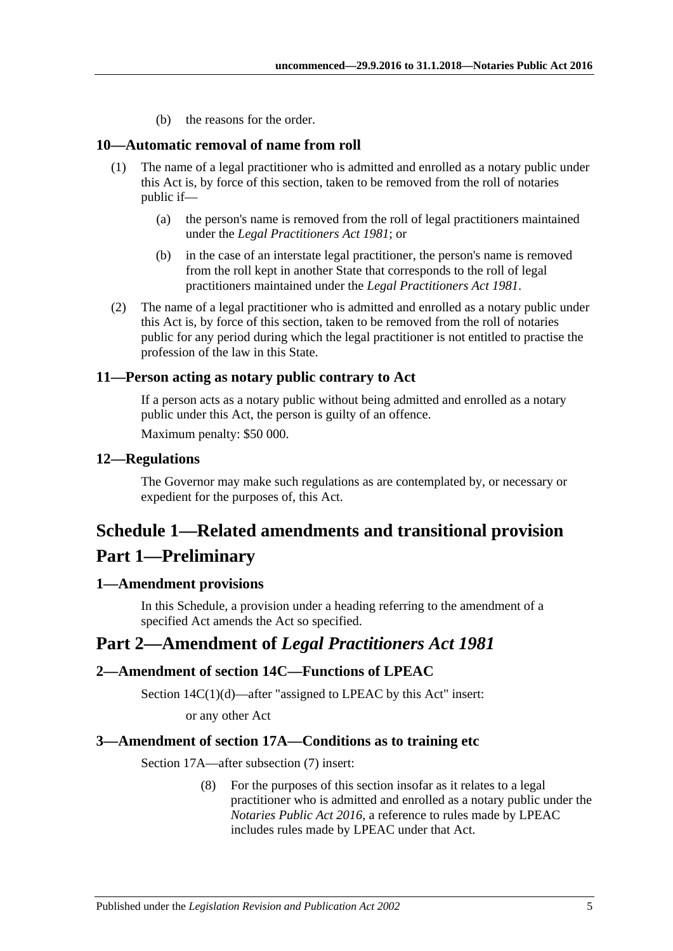(b) the reasons for the order.

#### <span id="page-4-0"></span>**10—Automatic removal of name from roll**

- (1) The name of a legal practitioner who is admitted and enrolled as a notary public under this Act is, by force of this section, taken to be removed from the roll of notaries public if—
	- (a) the person's name is removed from the roll of legal practitioners maintained under the *[Legal Practitioners Act](http://www.legislation.sa.gov.au/index.aspx?action=legref&type=act&legtitle=Legal%20Practitioners%20Act%201981) 1981*; or
	- (b) in the case of an interstate legal practitioner, the person's name is removed from the roll kept in another State that corresponds to the roll of legal practitioners maintained under the *[Legal Practitioners Act](http://www.legislation.sa.gov.au/index.aspx?action=legref&type=act&legtitle=Legal%20Practitioners%20Act%201981) 1981*.
- (2) The name of a legal practitioner who is admitted and enrolled as a notary public under this Act is, by force of this section, taken to be removed from the roll of notaries public for any period during which the legal practitioner is not entitled to practise the profession of the law in this State.

#### <span id="page-4-1"></span>**11—Person acting as notary public contrary to Act**

If a person acts as a notary public without being admitted and enrolled as a notary public under this Act, the person is guilty of an offence.

Maximum penalty: \$50 000.

#### <span id="page-4-2"></span>**12—Regulations**

The Governor may make such regulations as are contemplated by, or necessary or expedient for the purposes of, this Act.

## <span id="page-4-3"></span>**Schedule 1—Related amendments and transitional provision Part 1—Preliminary**

#### <span id="page-4-4"></span>**1—Amendment provisions**

In this Schedule, a provision under a heading referring to the amendment of a specified Act amends the Act so specified.

## **Part 2—Amendment of** *Legal Practitioners Act 1981*

#### <span id="page-4-5"></span>**2—Amendment of section 14C—Functions of LPEAC**

Section 14C(1)(d)—after "assigned to LPEAC by this Act" insert:

or any other Act

#### <span id="page-4-6"></span>**3—Amendment of section 17A—Conditions as to training etc**

Section 17A—after subsection (7) insert:

(8) For the purposes of this section insofar as it relates to a legal practitioner who is admitted and enrolled as a notary public under the *[Notaries Public Act](http://www.legislation.sa.gov.au/index.aspx?action=legref&type=act&legtitle=Notaries%20Public%20Act%202016) 2016*, a reference to rules made by LPEAC includes rules made by LPEAC under that Act.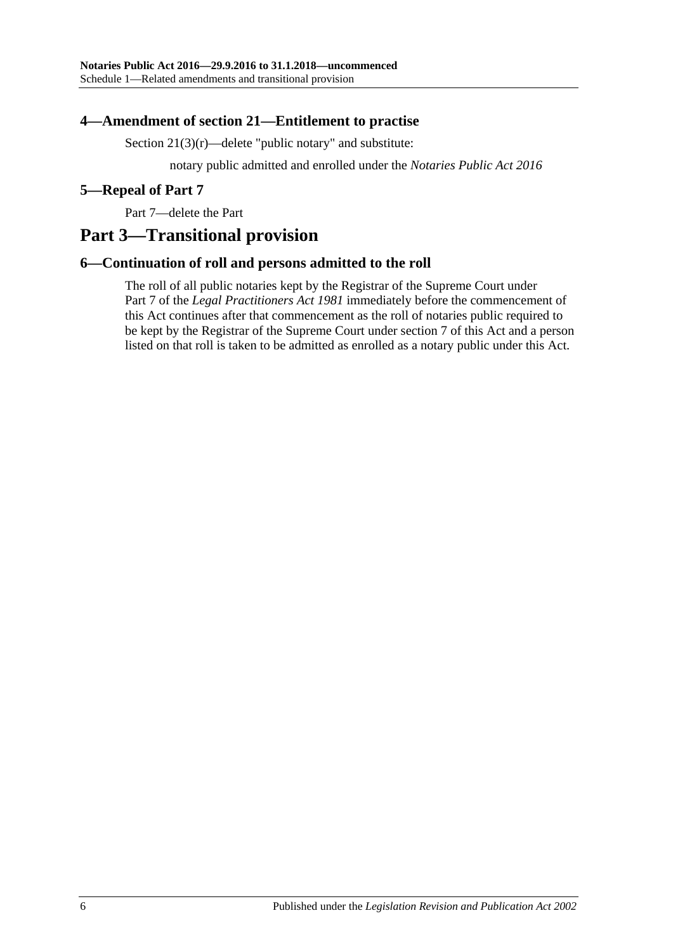#### <span id="page-5-0"></span>**4—Amendment of section 21—Entitlement to practise**

Section  $21(3)(r)$ —delete "public notary" and substitute:

notary public admitted and enrolled under the *[Notaries Public Act](http://www.legislation.sa.gov.au/index.aspx?action=legref&type=act&legtitle=Notaries%20Public%20Act%202016) 2016*

#### <span id="page-5-1"></span>**5—Repeal of Part 7**

Part 7—delete the Part

## **Part 3—Transitional provision**

#### <span id="page-5-2"></span>**6—Continuation of roll and persons admitted to the roll**

The roll of all public notaries kept by the Registrar of the Supreme Court under Part 7 of the *[Legal Practitioners Act](http://www.legislation.sa.gov.au/index.aspx?action=legref&type=act&legtitle=Legal%20Practitioners%20Act%201981) 1981* immediately before the commencement of this Act continues after that commencement as the roll of notaries public required to be kept by the Registrar of the Supreme Court under [section](#page-2-2) 7 of this Act and a person listed on that roll is taken to be admitted as enrolled as a notary public under this Act.